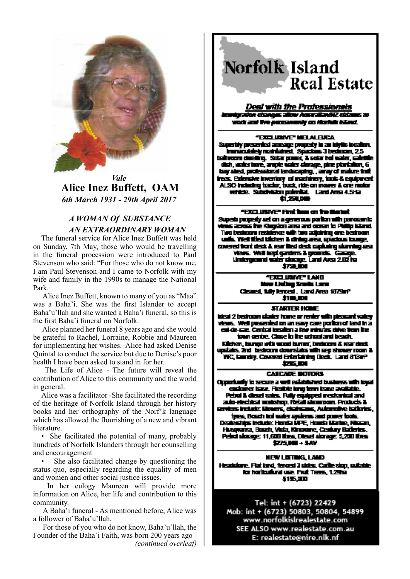

*Vale*  **Alice Inez Buffett, OAM**  *6th March 1931 - 29th April 2017*

### *A WOMAN Of SUBSTANCE AN EXTRAORDINARY WOMAN*

The funeral service for Alice Inez Buffett was held on Sunday, 7th May, those who would be travelling in the funeral procession were introduced to Paul Stevenson who said: "For those who do not know me, I am Paul Stevenson and I came to Norfolk with my wife and family in the 1990s to manage the National Park.

 Alice Inez Buffett, known to many of you as "Maa" was a Baha'i. She was the first Islander to accept Baha'u'llah and she wanted a Baha'i funeral, so this is the first Baha'i funeral on Norfolk.

 Alice planned her funeral 8 years ago and she would be grateful to Rachel, Lorraine, Robbie and Maureen for implementing her wishes. Alice had asked Denise Quintal to conduct the service but due to Denise's poor health I have been asked to stand in for her.

 The Life of Alice - The future will reveal the contribution of Alice to this community and the world in general.

Alice was a facilitator -She facilitated the recording of the heritage of Norfolk Island through her history books and her orthography of the Norf'k language which has allowed the flourishing of a new and vibrant literature.

• She facilitated the potential of many, probably hundreds of Norfolk Islanders through her counselling and encouragement

She also facilitated change by questioning the status quo, especially regarding the equality of men and women and other social justice issues.

 In her eulogy Maureen will provide more information on Alice, her life and contribution to this community.

 A Baha'i funeral - As mentioned before, Alice was a follower of Baha'u'llah.

 For those of you who do not know, Baha'u'llah, the Founder of the Baha'i Faith, was born 200 years ago *(continued overleaf)*

## **Norfolk Island**  $\blacksquare$  Real Estate

Deal with the Professionals ion changes allow Acsessiantic clob wock and the personancy on Horish island.

### **FERELUMNE" MELALEUCA**

Superity presented acrosge properly in an idylic incultor. inmazialely maniared. Spacious 3 bedocen, 2.5 teilvarn deeling. Sute poes, 2 sale hal eater, salelli<br>dich, walerbore, ample eater alonge, pine plantalien, 6 bay sied, prelectional landscaping, , aray of makee that fes. Edmart Ivening of miching, india equipment ALSO including tracks, buck, ride on mover & one motor vehicle, Substitution polenikal, Land Ansa 4.5Hz \$1,250,000

### "Etc. Utive" first two on the Mariet

Superb properly act on a generous portion with panosan is mis across the Kingdom and and open to Phil ia kieral Two bedroom residence with two adjoining one bedroom k. Wel the kiser 1 drug ars, quose tunge, covered from desk & rear liked desk capturing stumping and view. Well kept ganters & growth. Gamp. Undergrand water change. Eard Area 2.02 ha tra in

> **FRID USINE LAND** New Lighter Study, Lang Cleared, 1.8, Jerced., Land Ansa 1879af 加里亚

#### **STARTER HOME**

ideal 2 bedroom stader home or renter with steamert valley. views. Well presented on an easy care portion of land in a i de sac. Centai boalon a fer minues dire tom ihe. ionn gerbe. Close in the actual and beach.

Kilchen, kunge with wood kunger, bedoorn & gear deck spalairs. 2nd - bedroom downslaks with sep shower room 3. WC, launchy, Covered Entertaining Deck, Land 813m<sup>3</sup> 大方式 医肾

### **CASEADE BOTORS**

Opportunity to secure a well existence business with toyot castimer taxe. Fiestide long ferm lease available. Petrol & diesel sales. Fully equipped mechanical and auto-electrical municipal, Retail alumnoam, Pruducts & iss insule Mover, cicinana, Automike Iadenis, types, Boach and water systems and power tools. Desientius Indude: Honda MPE, Honda Marine, Minam. Husquana, Boazh, Vida, Kinorane, Century Balleries. Petro change: 11,630 thes, Direct change: 5,230 thes  $225.00 - 5.00$ 

**NEW LISTING, LAMD** Headsdore, Flat land, fenced 3 sides, Calife sign, suitable. for horizontaral use. Fiult Trees, 1.29 m 5105.000

Tel: int + (6723) 22429 Mob: int + (6723) 50803, 50804, 54899 www.norfolkislrealestate.com SEE ALSO www.realestate.com.au E: realestate@nire.nlk.nf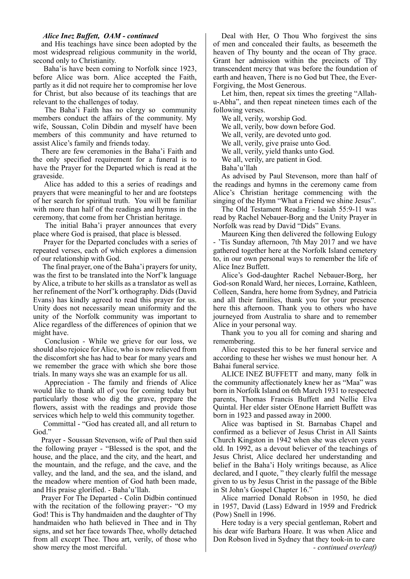### *Alice Inez Buffett, OAM - continued*

and His teachings have since been adopted by the most widespread religious community in the world, second only to Christianity.

 Baha'is have been coming to Norfolk since 1923, before Alice was born. Alice accepted the Faith, partly as it did not require her to compromise her love for Christ, but also because of its teachings that are relevant to the challenges of today.

 The Baha'i Faith has no clergy so community members conduct the affairs of the community. My wife, Soussan, Colin Dibdin and myself have been members of this community and have returned to assist Alice's family and friends today.

There are few ceremonies in the Baha'i Faith and the only specified requirement for a funeral is to have the Prayer for the Departed which is read at the graveside.

 Alice has added to this a series of readings and prayers that were meaningful to her and are footsteps of her search for spiritual truth. You will be familiar with more than half of the readings and hymns in the ceremony, that come from her Christian heritage.

 The initial Baha'i prayer announces that every place where God is praised, that place is blessed.

 Prayer for the Departed concludes with a series of repeated verses, each of which explores a dimension of our relationship with God.

 The final prayer, one of the Baha'i prayers for unity, was the first to be translated into the Norf'k language by Alice, a tribute to her skills as a translator as well as her refinement of the Norf'k orthography. Dids (David Evans) has kindly agreed to read this prayer for us. Unity does not necessarily mean uniformity and the unity of the Norfolk community was important to Alice regardless of the differences of opinion that we might have.

 Conclusion - While we grieve for our loss, we should also rejoice for Alice, who is now relieved from the discomfort she has had to bear for many years and we remember the grace with which she bore those trials. In many ways she was an example for us all.

 Appreciation - The family and friends of Alice would like to thank all of you for coming today but particularly those who dig the grave, prepare the flowers, assist with the readings and provide those services which help to weld this community together.

 Committal - "God has created all, and all return to God."

Prayer - Soussan Stevenson, wife of Paul then said the following prayer - "Blessed is the spot, and the house, and the place, and the city, and the heart, and the mountain, and the refuge, and the cave, and the valley, and the land, and the sea, and the island, and the meadow where mention of God hath been made, and His praise glorified. - Baha'u'llah.

Prayer For The Departed - Colin Didbin continued with the recitation of the following prayer:- "O my God! This is Thy handmaiden and the daughter of Thy handmaiden who hath believed in Thee and in Thy signs, and set her face towards Thee, wholly detached from all except Thee. Thou art, verily, of those who show mercy the most merciful.

Deal with Her, O Thou Who forgivest the sins of men and concealed their faults, as beseemeth the heaven of Thy bounty and the ocean of Thy grace. Grant her admission within the precincts of Thy transcendent mercy that was before the foundation of earth and heaven, There is no God but Thee, the Ever-Forgiving, the Most Generous.

Let him, then, repeat six times the greeting "Allahu-Abha", and then repeat nineteen times each of the following verses.

We all, verily, worship God.

We all, verily, bow down before God.

We all, verily, are devoted unto god.

We all, verily, give praise unto God.

We all, verily, yield thanks unto God.

We all, verily, are patient in God.

Baha'u'llah

As advised by Paul Stevenson, more than half of the readings and hymns in the ceremony came from Alice's Christian heritage commencing with the singing of the Hymn "What a Friend we shine Jesus".

The Old Testament Reading - Isaiah 55:9-11 was read by Rachel Nebauer-Borg and the Unity Prayer in Norfolk was read by David "Dids" Evans.

Maureen King then delivered the following Eulogy - 'Tis Sunday afternoon, 7th May 2017 and we have gathered together here at the Norfolk Island cemetery to, in our own personal ways to remember the life of Alice Inez Buffett.

Alice's God-daughter Rachel Nebauer-Borg, her God-son Ronald Ward, her nieces, Lorraine, Kathleen, Colleen, Sandra, here home from Sydney, and Patricia and all their families, thank you for your presence here this afternoon. Thank you to others who have journeyed from Australia to share and to remember Alice in your personal way.

Thank you to you all for coming and sharing and remembering.

Alice requested this to be her funeral service and according to these her wishes we must honour her. A Bahai funeral service.

ALICE INEZ BUFFETT and many, many folk in the community affectionately knew her as "Maa" was born in Norfolk Island on 6th March 1931 to respected parents, Thomas Francis Buffett and Nellie Elva Quintal. Her elder sister OEnone Harriett Buffett was born in 1923 and passed away in 2000.

Alice was baptised in St. Barnabas Chapel and confirmed as a believer of Jesus Christ in All Saints Church Kingston in 1942 when she was eleven years old. In 1992, as a devout believer of the teachings of Jesus Christ, Alice declared her understanding and belief in the Baha'i Holy writings because, as Alice declared, and I quote, " they clearly fulfil the message given to us by Jesus Christ in the passage of the Bible in St John's Gospel Chapter 16."

Alice married Donald Robson in 1950, he died in 1957, David (Lass) Edward in 1959 and Fredrick (Pow) Snell in 1996.

Here today is a very special gentleman, Robert and his dear wife Barbara Hoare. It was when Alice and Don Robson lived in Sydney that they took-in to care *- continued overleaf)*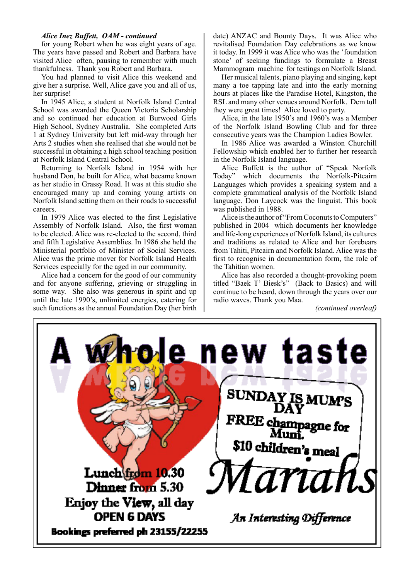### *Alice Inez Buffett, OAM - continued*

for young Robert when he was eight years of age. The years have passed and Robert and Barbara have visited Alice often, pausing to remember with much thankfulness. Thank you Robert and Barbara.

You had planned to visit Alice this weekend and give her a surprise. Well, Alice gave you and all of us, her surprise!

In 1945 Alice, a student at Norfolk Island Central School was awarded the Queen Victoria Scholarship and so continued her education at Burwood Girls High School, Sydney Australia. She completed Arts 1 at Sydney University but left mid-way through her Arts 2 studies when she realised that she would not be successful in obtaining a high school teaching position at Norfolk Island Central School.

Returning to Norfolk Island in 1954 with her husband Don, he built for Alice, what became known as her studio in Grassy Road. It was at this studio she encouraged many up and coming young artists on Norfolk Island setting them on their roads to successful careers.

In 1979 Alice was elected to the first Legislative Assembly of Norfolk Island. Also, the first woman to be elected. Alice was re-elected to the second, third and fifth Legislative Assemblies. In 1986 she held the Ministerial portfolio of Minister of Social Services. Alice was the prime mover for Norfolk Island Health Services especially for the aged in our community.

Alice had a concern for the good of our community and for anyone suffering, grieving or struggling in some way. She also was generous in spirit and up until the late 1990's, unlimited energies, catering for such functions as the annual Foundation Day (her birth date) ANZAC and Bounty Days. It was Alice who revitalised Foundation Day celebrations as we know it today. In 1999 it was Alice who was the 'foundation stone' of seeking fundings to formulate a Breast Mammogram machine for testings on Norfolk Island.

Her musical talents, piano playing and singing, kept many a toe tapping late and into the early morning hours at places like the Paradise Hotel, Kingston, the RSL and many other venues around Norfolk. Dem tull they were great times! Alice loved to party.

Alice, in the late 1950's and 1960's was a Member of the Norfolk Island Bowling Club and for three consecutive years was the Champion Ladies Bowler.

In 1986 Alice was awarded a Winston Churchill Fellowship which enabled her to further her research in the Norfolk Island language.

Alice Buffett is the author of "Speak Norfolk Today" which documents the Norfolk-Pitcairn Languages which provides a speaking system and a complete grammatical analysis of the Norfolk Island language. Don Laycock was the linguist. This book was published in 1988.

Alice is the author of "From Coconuts to Computers" published in 2004 which documents her knowledge and life-long experiences of Norfolk Island, its cultures and traditions as related to Alice and her forebears from Tahiti, Pitcairn and Norfolk Island. Alice was the first to recognise in documentation form, the role of the Tahitian women.

Alice has also recorded a thought-provoking poem titled "Baek T' Biesk's" (Back to Basics) and will continue to be heard, down through the years over our radio waves. Thank you Maa.

*(continued overleaf)*

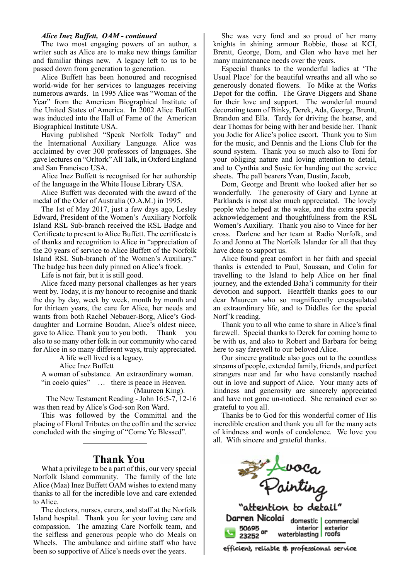### *Alice Inez Buffett, OAM - continued*

The two most engaging powers of an author, a writer such as Alice are to make new things familiar and familiar things new. A legacy left to us to be passed down from generation to generation.

Alice Buffett has been honoured and recognised world-wide for her services to languages receiving numerous awards. In 1995 Alice was "Woman of the Year" from the American Biographical Institute of the United States of America. In 2002 Alice Buffett was inducted into the Hall of Fame of the American Biographical Institute USA.

Having published "Speak Norfolk Today" and the International Auxiliary Language. Alice was acclaimed by over 300 professors of languages. She gave lectures on "Orltork" All Talk, in Oxford England and San Francisco USA.

Alice Inez Buffett is recognised for her authorship of the language in the White House Library USA.

Alice Buffett was decorated with the award of the medal of the Oder of Australia (O.A.M.) in 1995.

The 1st of May 2017, just a few days ago, Lesley Edward, President of the Women's Auxiliary Norfolk Island RSL Sub-branch received the RSL Badge and Certificate to present to Alice Buffett. The certificate is of thanks and recognition to Alice in "appreciation of the 20 years of service to Alice Buffett of the Norfolk Island RSL Sub-branch of the Women's Auxiliary." The badge has been duly pinned on Alice's frock.

Life is not fair, but it is still good.

Alice faced many personal challenges as her years went by. Today, it is my honour to recognise and thank the day by day, week by week, month by month and for thirteen years, the care for Alice, her needs and wants from both Rachel Nebauer-Borg, Alice's Goddaughter and Lorraine Boudan, Alice's oldest niece, gave to Alice. Thank you to you both. Thank you also to so many other folk in our community who cared for Alice in so many different ways, truly appreciated.

A life well lived is a legacy.

Alice Inez Buffett

A woman of substance. An extraordinary woman. "in coelo quies" ... there is peace in Heaven.

(Maureen King).

 The New Testament Reading - John 16:5-7, 12-16 was then read by Alice's God-son Ron Ward.

This was followed by the Committal and the placing of Floral Tributes on the coffin and the service concluded with the singing of "Come Ye Blessed".

### **Thank You**

What a privilege to be a part of this, our very special Norfolk Island community. The family of the late Alice (Maa) Inez Buffett OAM wishes to extend many thanks to all for the incredible love and care extended to Alice.

The doctors, nurses, carers, and staff at the Norfolk Island hospital. Thank you for your loving care and compassion. The amazing Care Norfolk team, and the selfless and generous people who do Meals on Wheels. The ambulance and airline staff who have been so supportive of Alice's needs over the years.

She was very fond and so proud of her many knights in shining armour Robbie, those at KCI, Brentt, George, Dom, and Glen who have met her many maintenance needs over the years.

Especial thanks to the wonderful ladies at 'The Usual Place' for the beautiful wreaths and all who so generously donated flowers. To Mike at the Works Depot for the coffin. The Grave Diggers and Shane for their love and support. The wonderful mound decorating team of Binky, Derek, Ada, George, Brentt, Brandon and Ella. Tardy for driving the hearse, and dear Thomas for being with her and beside her. Thank you Jodie for Alice's police escort. Thank you to Sim for the music, and Dennis and the Lions Club for the sound system. Thank you so much also to Toni for your obliging nature and loving attention to detail, and to Cynthia and Susie for handing out the service sheets. The pall bearers Yvan, Dustin, Jacob,

Dom, George and Brentt who looked after her so wonderfully. The generosity of Gary and Lynne at Parklands is most also much appreciated. The lovely people who helped at the wake, and the extra special acknowledgement and thoughtfulness from the RSL Women's Auxiliary. Thank you also to Vince for her cross. Darlene and her team at Radio Norfolk, and Jo and Jonno at The Norfolk Islander for all that they have done to support us.

Alice found great comfort in her faith and special thanks is extended to Paul, Soussan, and Colin for travelling to the Island to help Alice on her final journey, and the extended Baha'i community for their devotion and support. Heartfelt thanks goes to our dear Maureen who so magnificently encapsulated an extraordinary life, and to Diddles for the special Norf'k reading.

Thank you to all who came to share in Alice's final farewell. Special thanks to Derek for coming home to be with us, and also to Robert and Barbara for being here to say farewell to our beloved Alice.

Our sincere gratitude also goes out to the countless streams of people, extended family, friends, and perfect strangers near and far who have constantly reached out in love and support of Alice. Your many acts of kindness and generosity are sincerely appreciated and have not gone un-noticed. She remained ever so grateful to you all.

Thanks be to God for this wonderful corner of His incredible creation and thank you all for the many acts of kindness and words of condolence. We love you all. With sincere and grateful thanks.



"attention to detail" Darren Nicolai domestic | commercial interior exterior waterblasting | roofs 23252

efficient, reliable & professional service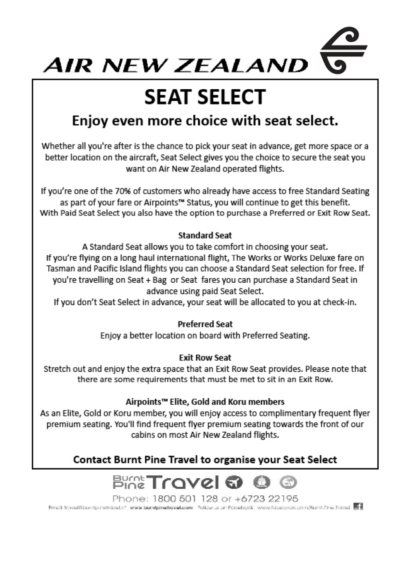

# **SEAT SELECT**

## Enjoy even more choice with seat select.

Whether all you're after is the chance to pick your seat in advance, get more space or a better location on the aircraft, Seat Select gives you the choice to secure the seat you want on Air New Zealand operated flights.

If you're one of the 70% of customers who already have access to free Standard Seating as part of your fare or Airpoints™ Status, you will continue to get this benefit. With Paid Seat Select you also have the option to purchase a Preferred or Exit Row Seat.

### **Standard Seat**

A Standard Seat allows you to take comfort in choosing your seat. If you're flying on a long haul international flight, The Works or Works Deluxe fare on Tasman and Pacific Island flights you can choose a Standard Seat selection for free. If you're travelling on Seat + Bag or Seat fares you can purchase a Standard Seat in advance using paid Seat Select.

If you don't Seat Select in advance, your seat will be allocated to you at check-in.

### **Preferred Seat**

Enjoy a better location on board with Preferred Seating.

### **Exit Row Seat**

Stretch out and enjoy the extra space that an Exit Row Seat provides. Please note that there are some requirements that must be met to sit in an Exit Row.

### Airpoints™ Elite, Gold and Koru members

As an Elite, Gold or Koru member, you will enjoy access to complimentary frequent flyer premium seating. You'll find frequent flyer premium seating towards the front of our cabins on most Air New Zealand flights.

### Contact Burnt Pine Travel to organise your Seat Select



Phone: 1800 501 128 or +6723 22195 Fmail: travel@bumbp.netravel.nf www.bumbpinetravel.com Folkovus.on Facebook www.facebook.com/BumbPine.Travel